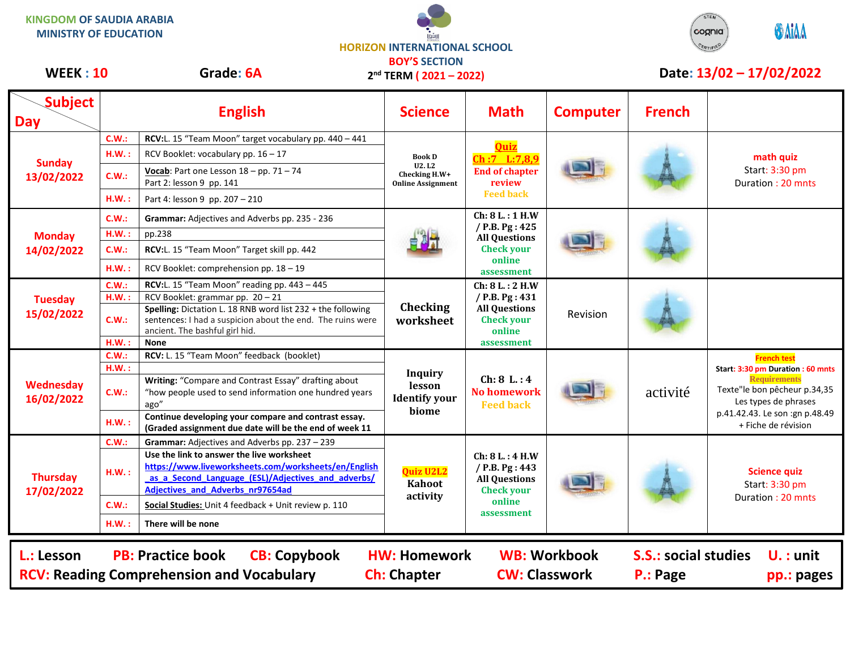**KINGDOM OF SAUDIA ARABIA MINISTRY OF EDUCATION**





WEEK : 10 Grade: 6A 2<sup>nd</sup> TERM (2021 – 2022) Date: 13/02 – 17/02/2022

| <b>Subject</b><br><b>Day</b>                                                                                                                                                                                                                                                          |       | <b>English</b>                                                                                                                                                                              | <b>Science</b>                                                       | <b>Math</b>                                                                                            | <b>Computer</b> | <b>French</b> |                                                                                                                                                                                                 |  |
|---------------------------------------------------------------------------------------------------------------------------------------------------------------------------------------------------------------------------------------------------------------------------------------|-------|---------------------------------------------------------------------------------------------------------------------------------------------------------------------------------------------|----------------------------------------------------------------------|--------------------------------------------------------------------------------------------------------|-----------------|---------------|-------------------------------------------------------------------------------------------------------------------------------------------------------------------------------------------------|--|
| <b>Sunday</b><br>13/02/2022                                                                                                                                                                                                                                                           | C.W.  | RCV:L. 15 "Team Moon" target vocabulary pp. 440 - 441                                                                                                                                       | <b>Book D</b><br>U2. L2<br>Checking H.W+<br><b>Online Assignment</b> | <b>Ouiz</b><br>Ch:7 L:7,8,9<br><b>End of chapter</b><br>review<br><b>Feed back</b>                     |                 |               |                                                                                                                                                                                                 |  |
|                                                                                                                                                                                                                                                                                       | H.W.: | RCV Booklet: vocabulary pp. 16 - 17                                                                                                                                                         |                                                                      |                                                                                                        |                 |               | math quiz<br>Start: 3:30 pm<br>Duration: 20 mnts                                                                                                                                                |  |
|                                                                                                                                                                                                                                                                                       | C.W.: | Vocab: Part one Lesson $18 - pp. 71 - 74$<br>Part 2: lesson 9 pp. 141                                                                                                                       |                                                                      |                                                                                                        |                 |               |                                                                                                                                                                                                 |  |
|                                                                                                                                                                                                                                                                                       | H.W.: | Part 4: lesson 9 pp. 207 - 210                                                                                                                                                              |                                                                      |                                                                                                        |                 |               |                                                                                                                                                                                                 |  |
| <b>Monday</b><br>14/02/2022                                                                                                                                                                                                                                                           | C.W.: | Grammar: Adjectives and Adverbs pp. 235 - 236                                                                                                                                               |                                                                      | Ch: 8 L.: 1 H.W<br>/ P.B. Pg: 425<br><b>All Questions</b><br><b>Check your</b><br>online<br>assessment |                 |               |                                                                                                                                                                                                 |  |
|                                                                                                                                                                                                                                                                                       | H.W.: | pp.238                                                                                                                                                                                      |                                                                      |                                                                                                        |                 |               |                                                                                                                                                                                                 |  |
|                                                                                                                                                                                                                                                                                       | C.W.: | RCV:L. 15 "Team Moon" Target skill pp. 442                                                                                                                                                  |                                                                      |                                                                                                        |                 |               |                                                                                                                                                                                                 |  |
|                                                                                                                                                                                                                                                                                       | H.W.: | RCV Booklet: comprehension pp. 18 - 19                                                                                                                                                      |                                                                      |                                                                                                        |                 |               |                                                                                                                                                                                                 |  |
| <b>Tuesday</b><br>15/02/2022                                                                                                                                                                                                                                                          | C.W.: | RCV:L. 15 "Team Moon" reading pp. 443 - 445                                                                                                                                                 | Checking<br>worksheet                                                | Ch: 8 L.: 2 H.W<br>/ P.B. Pg: 431<br><b>All Questions</b><br><b>Check your</b><br>online<br>assessment | Revision        |               |                                                                                                                                                                                                 |  |
|                                                                                                                                                                                                                                                                                       | H.W.: | RCV Booklet: grammar pp. 20 - 21                                                                                                                                                            |                                                                      |                                                                                                        |                 |               |                                                                                                                                                                                                 |  |
|                                                                                                                                                                                                                                                                                       | C.W.: | Spelling: Dictation L. 18 RNB word list 232 + the following<br>sentences: I had a suspicion about the end. The ruins were<br>ancient. The bashful girl hid.                                 |                                                                      |                                                                                                        |                 |               |                                                                                                                                                                                                 |  |
|                                                                                                                                                                                                                                                                                       | H.W.: | <b>None</b>                                                                                                                                                                                 |                                                                      |                                                                                                        |                 |               |                                                                                                                                                                                                 |  |
|                                                                                                                                                                                                                                                                                       | C.W.: | RCV: L. 15 "Team Moon" feedback (booklet)                                                                                                                                                   | <b>Inquiry</b><br>lesson<br><b>Identify your</b><br>biome            | Ch: 8 L: 4<br><b>No homework</b><br><b>Feed back</b>                                                   |                 | activité      | <b>French test</b><br>Start: 3:30 pm Duration : 60 mnts<br><b>Requirements</b><br>Texte"le bon pêcheur p.34,35<br>Les types de phrases<br>p.41.42.43. Le son :gn p.48.49<br>+ Fiche de révision |  |
|                                                                                                                                                                                                                                                                                       | HM.:  |                                                                                                                                                                                             |                                                                      |                                                                                                        |                 |               |                                                                                                                                                                                                 |  |
| Wednesday<br>16/02/2022                                                                                                                                                                                                                                                               | C.W.: | Writing: "Compare and Contrast Essay" drafting about<br>"how people used to send information one hundred years<br>ago"                                                                      |                                                                      |                                                                                                        |                 |               |                                                                                                                                                                                                 |  |
|                                                                                                                                                                                                                                                                                       | HM.:  | Continue developing your compare and contrast essay.<br>(Graded assignment due date will be the end of week 11                                                                              |                                                                      |                                                                                                        |                 |               |                                                                                                                                                                                                 |  |
|                                                                                                                                                                                                                                                                                       | C.W.: | Grammar: Adjectives and Adverbs pp. 237 - 239                                                                                                                                               | <b>Quiz U2L2</b><br>Kahoot<br>activity                               | Ch: 8 L.: 4 H.W<br>/ P.B. Pg: 443<br><b>All Questions</b><br><b>Check your</b><br>online<br>assessment |                 |               | <b>Science quiz</b><br>Start: 3:30 pm<br>Duration: 20 mnts                                                                                                                                      |  |
| <b>Thursday</b><br>17/02/2022                                                                                                                                                                                                                                                         | HM.:  | Use the link to answer the live worksheet<br>https://www.liveworksheets.com/worksheets/en/English<br>as_a_Second_Language_(ESL)/Adjectives_and_adverbs/<br>Adjectives_and_Adverbs_nr97654ad |                                                                      |                                                                                                        |                 |               |                                                                                                                                                                                                 |  |
|                                                                                                                                                                                                                                                                                       | C.W.: | Social Studies: Unit 4 feedback + Unit review p. 110                                                                                                                                        |                                                                      |                                                                                                        |                 |               |                                                                                                                                                                                                 |  |
|                                                                                                                                                                                                                                                                                       | H.W.: | There will be none                                                                                                                                                                          |                                                                      |                                                                                                        |                 |               |                                                                                                                                                                                                 |  |
| <b>PB: Practice book</b><br><b>CB: Copybook</b><br><b>WB: Workbook</b><br><b>S.S.: social studies</b><br>$U.$ : unit<br>L.: Lesson<br><b>HW: Homework</b><br><b>RCV: Reading Comprehension and Vocabulary</b><br><b>Ch: Chapter</b><br><b>CW: Classwork</b><br>P.: Page<br>pp.: pages |       |                                                                                                                                                                                             |                                                                      |                                                                                                        |                 |               |                                                                                                                                                                                                 |  |